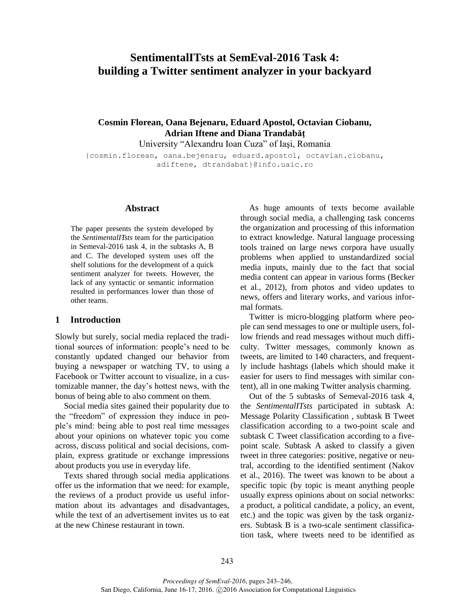# **SentimentalITsts at SemEval-2016 Task 4: building a Twitter sentiment analyzer in your backyard**

# **Cosmin Florean, Oana Bejenaru, Eduard Apostol, Octavian Ciobanu, Adrian Iftene and Diana Trandabăţ**

University "Alexandru Ioan Cuza" of Iaşi, Romania

{cosmin.florean, oana.bejenaru, eduard.apostol, octavian.ciobanu, adiftene, dtrandabat}@info.uaic.ro

#### **Abstract**

The paper presents the system developed by the *SentimentalITsts* team for the participation in Semeval-2016 task 4, in the subtasks A, B and C. The developed system uses off the shelf solutions for the development of a quick sentiment analyzer for tweets. However, the lack of any syntactic or semantic information resulted in performances lower than those of other teams.

#### **1 Introduction**

Slowly but surely, social media replaced the traditional sources of information: people's need to be constantly updated changed our behavior from buying a newspaper or watching TV, to using a Facebook or Twitter account to visualize, in a customizable manner, the day's hottest news, with the bonus of being able to also comment on them.

Social media sites gained their popularity due to the "freedom" of expression they induce in people's mind: being able to post real time messages about your opinions on whatever topic you come across, discuss political and social decisions, complain, express gratitude or exchange impressions about products you use in everyday life.

Texts shared through social media applications offer us the information that we need: for example, the reviews of a product provide us useful information about its advantages and disadvantages, while the text of an advertisement invites us to eat at the new Chinese restaurant in town.

As huge amounts of texts become available through social media, a challenging task concerns the organization and processing of this information to extract knowledge. Natural language processing tools trained on large news corpora have usually problems when applied to unstandardized social media inputs, mainly due to the fact that social media content can appear in various forms (Becker et al., 2012), from photos and video updates to news, offers and literary works, and various informal formats.

Twitter is micro-blogging platform where people can send messages to one or multiple users, follow friends and read messages without much difficulty. Twitter messages, commonly known as tweets, are limited to 140 characters, and frequently include hashtags (labels which should make it easier for users to find messages with similar content), all in one making Twitter analysis charming.

Out of the 5 subtasks of Semeval-2016 task 4, the *SentimentalITsts* participated in subtask A: Message Polarity Classification , subtask B Tweet classification according to a two-point scale and subtask C Tweet classification according to a fivepoint scale. Subtask A asked to classify a given tweet in three categories: positive, negative or neutral, according to the identified sentiment (Nakov et al., 2016). The tweet was known to be about a specific topic (by topic is meant anything people usually express opinions about on social networks: a product, a political candidate, a policy, an event, etc.) and the topic was given by the task organizers. Subtask B is a two-scale sentiment classification task, where tweets need to be identified as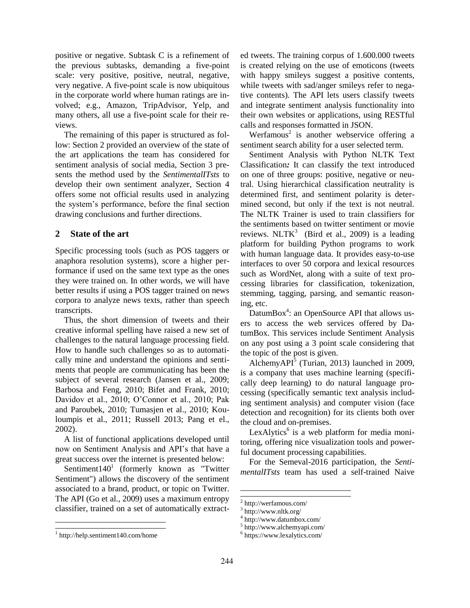positive or negative. Subtask C is a refinement of the previous subtasks, demanding a five-point scale: very positive, positive, neutral, negative, very negative. A five-point scale is now ubiquitous in the corporate world where human ratings are involved; e.g., Amazon, TripAdvisor, Yelp, and many others, all use a five-point scale for their reviews.

The remaining of this paper is structured as follow: Section 2 provided an overview of the state of the art applications the team has considered for sentiment analysis of social media, Section 3 presents the method used by the *SentimentalITsts* to develop their own sentiment analyzer, Section 4 offers some not official results used in analyzing the system's performance, before the final section drawing conclusions and further directions.

## **2 State of the art**

Specific processing tools (such as POS taggers or anaphora resolution systems), score a higher performance if used on the same text type as the ones they were trained on. In other words, we will have better results if using a POS tagger trained on news corpora to analyze news texts, rather than speech transcripts.

Thus, the short dimension of tweets and their creative informal spelling have raised a new set of challenges to the natural language processing field. How to handle such challenges so as to automatically mine and understand the opinions and sentiments that people are communicating has been the subject of several research (Jansen et al., 2009; Barbosa and Feng, 2010; Bifet and Frank, 2010; Davidov et al., 2010; O'Connor et al., 2010; Pak and Paroubek, 2010; Tumasjen et al., 2010; Kouloumpis et al., 2011; Russell 2013; Pang et el., 2002).

A list of functional applications developed until now on Sentiment Analysis and API's that have a great success over the internet is presented below:

Sentiment $140<sup>1</sup>$  (formerly known as "Twitter Sentiment") allows the discovery of the sentiment associated to a brand, product, or topic on Twitter. The API (Go et al., 2009) uses a maximum entropy classifier, trained on a set of automatically extract-

 $\overline{a}$ 

ed tweets. The training corpus of 1.600.000 tweets is created relying on the use of emoticons (tweets with happy smileys suggest a positive contents, while tweets with sad/anger smileys refer to negative contents). The API lets users classify tweets and integrate sentiment analysis functionality into their own websites or applications, using RESTful calls and responses formatted in JSON.

Werfamous<sup>2</sup> is another webservice offering a sentiment search ability for a user selected term.

Sentiment Analysis with Python NLTK Text Classification*:* It can classify the text introduced on one of three groups: positive, negative or neutral. Using hierarchical classification neutrality is determined first, and sentiment polarity is determined second, but only if the text is not neutral. The NLTK Trainer is used to train classifiers for the sentiments based on twitter sentiment or movie reviews. NLTK<sup>3</sup> (Bird et al., 2009) is a leading platform for building Python programs to work with human language data. It provides easy-to-use interfaces to over 50 corpora and lexical resources such as WordNet, along with a suite of text processing libraries for classification, tokenization, stemming, tagging, parsing, and semantic reasoning, etc.

DatumBox $4$ : an OpenSource API that allows users to access the web services offered by DatumBox. This services include Sentiment Analysis on any post using a 3 point scale considering that the topic of the post is given.

AlchemyAPI $^{\overline{5}}$  (Turian, 2013) launched in 2009, is a company that uses machine learning (specifically deep learning) to do natural language processing (specifically semantic text analysis including sentiment analysis) and computer vision (face detection and recognition) for its clients both over the cloud and on-premises.

LexAlytics<sup>6</sup> is a web platform for media monitoring, offering nice visualization tools and powerful document processing capabilities.

For the Semeval-2016 participation, the *SentimentalITsts* team has used a self-trained Naive

 $\overline{a}$ 

l

<sup>&</sup>lt;sup>1</sup> http://help.sentiment140.com/home

<sup>2</sup> http://werfamous.com/

<sup>3</sup> http://www.nltk.org/

<sup>4</sup> http://www.datumbox.com/

<sup>5</sup> http://www.alchemyapi.com/

<sup>6</sup> https://www.lexalytics.com/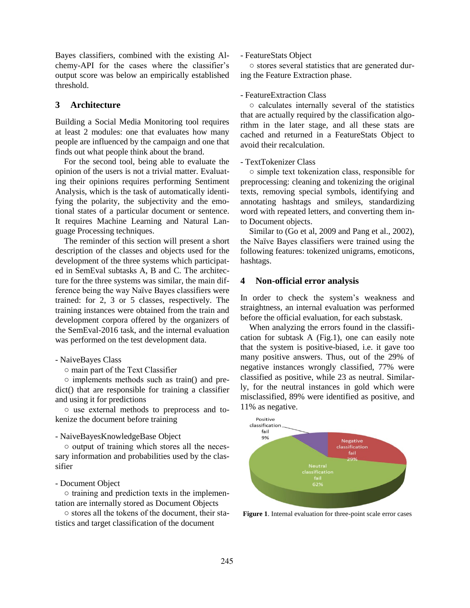Bayes classifiers, combined with the existing Alchemy-API for the cases where the classifier's output score was below an empirically established threshold.

### **3 Architecture**

Building a Social Media Monitoring tool requires at least 2 modules: one that evaluates how many people are influenced by the campaign and one that finds out what people think about the brand.

For the second tool, being able to evaluate the opinion of the users is not a trivial matter. Evaluating their opinions requires performing Sentiment Analysis, which is the task of automatically identifying the polarity, the subjectivity and the emotional states of a particular document or sentence. It requires Machine Learning and Natural Language Processing techniques.

The reminder of this section will present a short description of the classes and objects used for the development of the three systems which participated in SemEval subtasks A, B and C. The architecture for the three systems was similar, the main difference being the way Naïve Bayes classifiers were trained: for 2, 3 or 5 classes, respectively. The training instances were obtained from the train and development corpora offered by the organizers of the SemEval-2016 task, and the internal evaluation was performed on the test development data.

#### - NaiveBayes Class

○ main part of the Text Classifier

○ implements methods such as train() and predict() that are responsible for training a classifier and using it for predictions

○ use external methods to preprocess and tokenize the document before training

#### - NaiveBayesKnowledgeBase Object

○ output of training which stores all the necessary information and probabilities used by the classifier

#### - Document Object

○ training and prediction texts in the implementation are internally stored as Document Objects

○ stores all the tokens of the document, their statistics and target classification of the document

- FeatureStats Object

○ stores several statistics that are generated during the Feature Extraction phase.

#### - FeatureExtraction Class

○ calculates internally several of the statistics that are actually required by the classification algorithm in the later stage, and all these stats are cached and returned in a FeatureStats Object to avoid their recalculation.

#### - TextTokenizer Class

○ simple text tokenization class, responsible for preprocessing: cleaning and tokenizing the original texts, removing special symbols, identifying and annotating hashtags and smileys, standardizing word with repeated letters, and converting them into Document objects.

Similar to (Go et al, 2009 and Pang et al., 2002), the Naïve Bayes classifiers were trained using the following features: tokenized unigrams, emoticons, hashtags.

#### **4 Non-official error analysis**

In order to check the system's weakness and straightness, an internal evaluation was performed before the official evaluation, for each substask.

When analyzing the errors found in the classification for subtask A (Fig.1), one can easily note that the system is positive-biased, i.e. it gave too many positive answers. Thus, out of the 29% of negative instances wrongly classified, 77% were classified as positive, while 23 as neutral. Similarly, for the neutral instances in gold which were misclassified, 89% were identified as positive, and 11% as negative.



**Figure 1**. Internal evaluation for three-point scale error cases